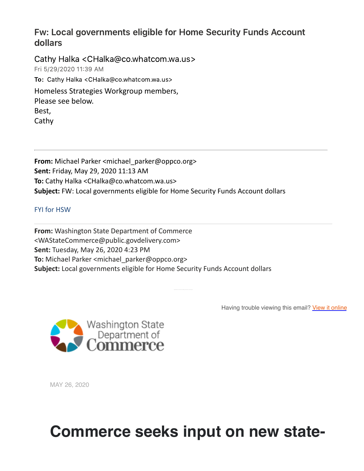#### Fw: Local governments eligible for Home Security Funds Account dollars

Cathy Halka <CHalka@co.whatcom.wa.us> Fri 5/29/2020 1139 AM To: Cathy Halka <CHalka@co.whatcom.wa.us> Homeless Strategies Workgroup members, Please see below. Best, Cathy

**From:** Michael Parker <michael\_parker@oppco.org> **Sent:** Friday, May 29, 2020 11:13 AM **To:** Cathy Halka <CHalka@co.whatcom.wa.us> **Subject:** FW: Local governments eligible for Home Security Funds Account dollars

#### FYI for HSW

**From:** Washington State Department of Commerce <WAStateCommerce@public.govdelivery.com> **Sent:** Tuesday, May 26, 2020 4:23 PM **To:** Michael Parker <michael\_parker@oppco.org> **Subject:** Local governments eligible for Home Security Funds Account dollars

Having trouble viewing this email? View it [online](https://nam03.safelinks.protection.outlook.com/?url=https%3A%2F%2Flnks.gd%2Fl%2FeyJhbGciOiJIUzI1NiJ9.eyJidWxsZXRpbl9saW5rX2lkIjoxMDAsInVyaSI6ImJwMjpjbGljayIsImJ1bGxldGluX2lkIjoiMjAyMDA1MjYuMjIwNDAyNTEiLCJ1cmwiOiJodHRwczovL2NvbnRlbnQuZ292ZGVsaXZlcnkuY29tL2FjY291bnRzL1dBRE9DL2J1bGxldGlucy8yOGQ3YjExIn0.g1hUOdMYnkiZUbm5IW4qtkiMvpG2uKoH6BsL7uwsLKY%2Fbr%2F79115490431-l&data=02%7C01%7CCHalka%40co.whatcom.wa.us%7Ce7c1454fa530426a84d308d803ffa68e%7C2122bbce9a1d4565931b0c534ef12e43%7C0%7C0%7C637263743824611588&sdata=w3ZEhg81zdpr%2FuNm%2BIqE6raftzzOgc3StfihSV58Pu4%3D&reserved=0)



MAY 26, 2020

# **Commerce seeks input on new state-**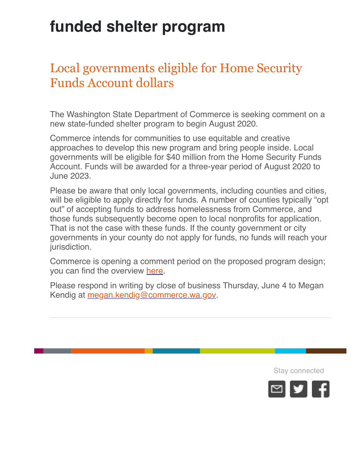# **funded shelter program**

## Local governments eligible for Home Security Funds Account dollars

The Washington State Department of Commerce is seeking comment on a new state-funded shelter program to begin August 2020.

Commerce intends for communities to use equitable and creative approaches to develop this new program and bring people inside. Local governments will be eligible for \$40 million from the Home Security Funds Account. Funds will be awarded for a three-year period of August 2020 to June 2023.

Please be aware that only local governments, including counties and cities, will be eligible to apply directly for funds. A number of counties typically "opt out" of accepting funds to address homelessness from Commerce, and those funds subsequently become open to local nonprofits for application. That is not the case with these funds. If the county government or city governments in your county do not apply for funds, no funds will reach your jurisdiction.

Commerce is opening a comment period on the proposed program design; you can find the overview [here](https://nam03.safelinks.protection.outlook.com/?url=https%3A%2F%2Flnks.gd%2Fl%2FeyJhbGciOiJIUzI1NiJ9.eyJidWxsZXRpbl9saW5rX2lkIjoxMDEsInVyaSI6ImJwMjpjbGljayIsImJ1bGxldGluX2lkIjoiMjAyMDA1MjYuMjIwNDAyNTEiLCJ1cmwiOiJodHRwczovL3d3dy5jb21tZXJjZS53YS5nb3Yvd3AtY29udGVudC91cGxvYWRzLzIwMjAvMDUvaGF1LXNoZWx0ZXItZ3JhbnQtcmVxdWVzdC1mb3Itc3Rha2Vob2xkZXItZmVlZGJhY2stNS4yNi4yMC5wZGYifQ.JzJ1P7Y7mX4USztkHeGFOURnCc4zIufoDwr2HyL0EaQ%2Fbr%2F79115490431-l&data=02%7C01%7CCHalka%40co.whatcom.wa.us%7Ce7c1454fa530426a84d308d803ffa68e%7C2122bbce9a1d4565931b0c534ef12e43%7C0%7C0%7C637263743824621543&sdata=c3qVf9qjo%2BfgVNPv9vOgQAI1U%2Bo3cFUmFMSrp9W7yk0%3D&reserved=0).

Please respond in writing by close of business Thursday, June 4 to Megan Kendig at [megan.kendig@commerce.wa.gov.](mailto:megan.kendig@commerce.wa.gov)

Stay connected